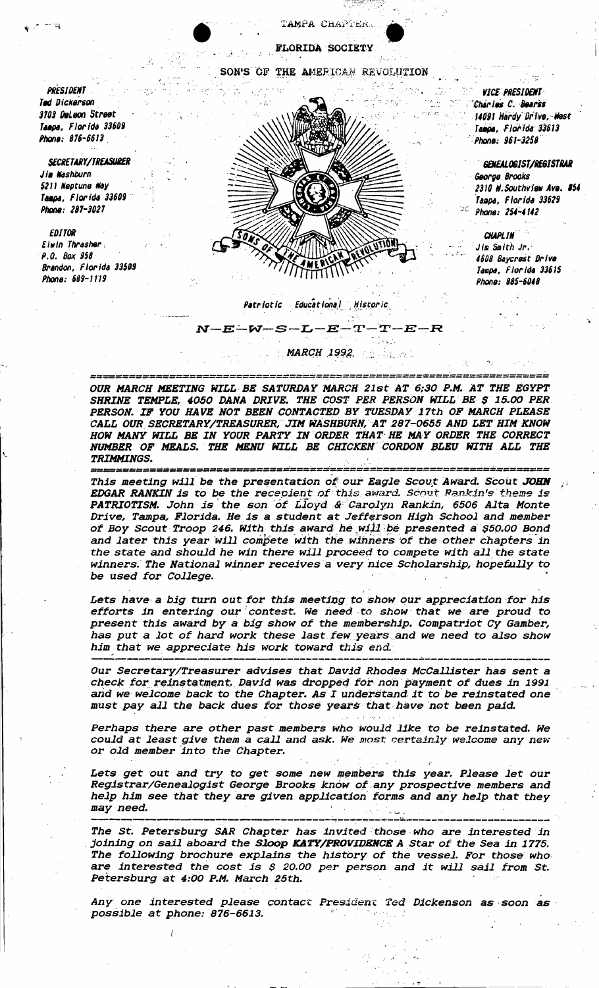TAMPA CHAPTER

FLORIDA SOCIETY

SON'S OF THE AMERICAN REVOLUTION

**PRESIDENT** Ted Dickerson 3703 DeLeon Street Tampa, Florida 33609 Phone: 876-6613

**SECRETARY/TREASURER** Jia Washburn 5211 Neptune Way Tampa, Florida 33609 Phone: 287-3027

**EDITOR** Elwin Thrasher  $P. Q.$  Box 958 Brandon, Florida 33509 Phone: 689-1119



**VICE PRESIDENT** Charles C. Bearss 14091 Hardy Drive, West Tampa, Florida 33613 Phone: 961-3258

GENEALOGIST/REGISTRAR George Brooks 2310 W. Southview Ave. #54 Tampa, Florida 33629 Phone: 254-4142

CHAPI IN Jim Smith Jr. 4608 Baycrest Drive Tampa, Florida 33615 Phone: 885-6048

### Patriotic Educational Historic

 $\mathbf{M}$ 

 $-E-W-S-L-E-T-T-E-R$ 

**MARCH 1992**, **And MARCH** 

OUR MARCH MEETING WILL BE SATURDAY MARCH 21st AT 6:30 P.M. AT THE EGYPT SHRINE TEMPLE, 4050 DANA DRIVE. THE COST PER PERSON WILL BE \$ 15.00 PER PERSON. IF YOU HAVE NOT BEEN CONTACTED BY TUESDAY 17th OF MARCH PLEASE CALL OUR SECRETARY/TREASURER, JIM WASHBURN, AT 287-0655 AND LET HIM KNOW HOW MANY WILL BE IN YOUR PARTY IN ORDER THAT HE MAY ORDER THE CORRECT NUMBER OF MEALS. THE MENU WILL BE CHICKEN CORDON BLEU WITH ALL THE **TRIMMINGS.** 

===================== This meeting will be the presentation of our Eagle Scout Award. Scout JOHN EDGAR RANKIN is to be the recepient of this award. Scout Rankin's theme is PATRIOTISM. John is the son of Lloyd & Carolyn Rankin, 6506 Alta Monte Drive, Tampa, Florida. He is a student at Jefferson High School and member of Boy Scout Troop 246. With this award he will be presented a \$50.00 Bond and later this year will compete with the winners of the other chapters in the state and should he win there will proceed to compete with all the state winners. The National winner receives a very nice Scholarship, hopefully to be used for College.

Lets have a big turn out for this meeting to show our appreciation for his efforts in entering our contest. We need to show that we are proud to present this award by a big show of the membership. Compatriot Cy Gamber, has put a lot of hard work these last few years and we need to also show him that we appreciate his work toward this end.

Our Secretary/Treasurer advises that David Rhodes McCallister has sent a check for reinstatment. David was dropped for non payment of dues in 1991 and we welcome back to the Chapter. As I understand it to be reinstated one must pay all the back dues for those years that have not been paid.

Perhaps there are other past members who would like to be reinstated. We could at least give them a call and ask. We most certainly welcome any new or old member into the Chapter.

Lets get out and try to get some new members this year. Please let our Registrar/Genealogist George Brooks know of any prospective members and help him see that they are given application forms and any help that they may need.

The St. Petersburg SAR Chapter has invited those who are interested in joining on sail aboard the Sloop KATY/PROVIDENCE A Star of the Sea in 1775. The following brochure explains the history of the vessel. For those who are interested the cost is \$ 20.00 per person and it will sail from St. Petersburg at 4:00 P.M. March 25th.

Any one interested please contact President Ted Dickenson as soon as possible at phone: 876-6613.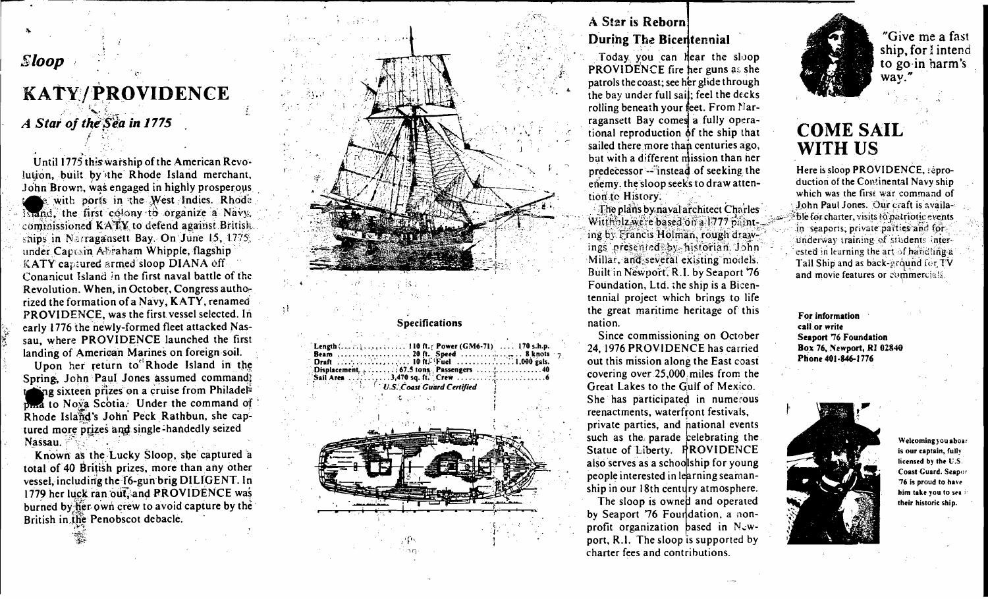## **Sloop**

# KATY/PROVIDENCE

A Star of the Sea in 1775

Until 1775 this warship of the American Revolution, built by the Rhode Island merchant. John Brown, was engaged in highly prosperous with ports in the West Indies. Rhode is and, the first colony to organize a Navy. commissioned KATY to defend against British. ships in Narragansett Bay. On June 15, 1775. under Capusin Abraham Whipple, flagship KATY captured armed sloop DIANA off Conanicut Island in the first naval battle of the Revolution. When, in October, Congress authorized the formation of a Navy, KATY, renamed PROVIDENCE, was the first vessel selected. In early 1776 the newly-formed fleet attacked Nassau, where PROVIDENCE launched the first landing of American Marines on foreign soil.

Upon her return to<sup>el</sup>Rhode Island in the Spring, John Paul Jones assumed command? ing sixteen prizes on a cruise from Philadel<sup>t</sup> plana to Nova Scotia. Under the command of Rhode Island's John Peck Rathbun, she captured more prizes and single-handedly seized Nassau.

Known as the Lucky Sloop, she captured a total of 40 British prizes, more than any other vessel, including the 16-gun brig DILIGENT. In 1779 her luck ran out, and PROVIDENCE was burned by her own crew to avoid capture by the British in the Penobscot debacle.

## A Star is Reborn During The Bicentennial

Today you can hear the sloop PROVIDENCE fire her guns as she patrols the coast; see her glide through the bay under full sail; feel the decks rolling beneath your feet. From Narragansett Bay comes a fully operational reproduction of the ship that sailed there more than centuries ago, but with a different mission than her predecessor -- instead of seeking the enemy, the sloop seeks to draw attention to History.

The plans by naval architect Charles Wittholz we're based on a 1777 painting by Francis Holman, rough drawings presented by historian John Millar, and several existing models. Built in Newport, R.I. by Seaport 76 Foundation, Ltd. the ship is a Bicentennial project which brings to life the great maritime heritage of this nation.

**Specifications** 

.... 3,470 sq. ft. Crew ......

U.S. Coast Guard Certified

Sail Area ......

Since commissioning on October 24, 1976 PROVIDENCE has carried out this mission along the East coast covering over 25,000 miles from the Great Lakes to the Gulf of Mexico. She has participated in numerous reenactments, waterfront festivals, private parties, and national events such as the parade celebrating the Statue of Liberty. PROVIDENCE also serves as a schoolship for young people interested in learning seamanship in our 18th century atmosphere.

The sloop is owned and operated by Seaport 76 Foundation, a nonprofit organization based in Newport, R.I. The sloop is supported by charter fees and contributions.



"Give me a fast ship, for l intend to go in harm's  $\overline{way.''}$ 

## **COME SAIL WITH US**

Here is sloop PROVIDENCE, reproduction of the Continental Navy ship which was the first war command of John Paul Jones. Our craft is available for charter, visits to patriotic events in seaports, private parties and for underway training of students interested in learning the art of handling a Tail Ship and as back-ground for TV and movie features or commercials.

For information call or write Seaport 76 Foundation Box 76, Newport, RI 02840 Phone 401-846-1776



.<br>Welcoming you aboar is our captain, fully licensed by the U.S. Coast Guard. Seapor 76 is proud to have him take you to sea itheir historic ship.